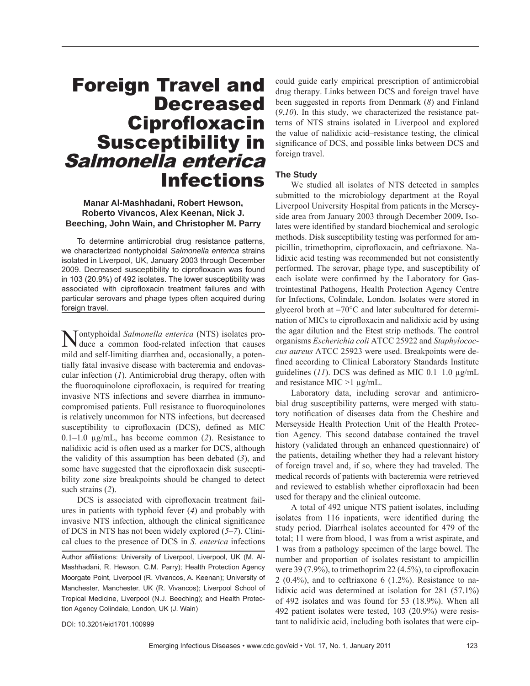# Foreign Travel and Decreased **Ciprofloxacin** Susceptibility in Salmonella enterica Infections

# **Manar Al-Mashhadani, Robert Hewson, Roberto Vivancos, Alex Keenan, Nick J. Beeching, John Wain, and Christopher M. Parry**

To determine antimicrobial drug resistance patterns, we characterized nontyphoidal *Salmonella enterica* strains isolated in Liverpool, UK, January 2003 through December 2009. Decreased susceptibility to ciprofloxacin was found in 103 (20.9%) of 492 isolates. The lower susceptibility was associated with ciprofloxacin treatment failures and with particular serovars and phage types often acquired during foreign travel.

Nontyphoidal *Salmonella enterica* (NTS) isolates produce a common food-related infection that causes mild and self-limiting diarrhea and, occasionally, a potentially fatal invasive disease with bacteremia and endovascular infection (*1*). Antimicrobial drug therapy, often with the fluoroquinolone ciprofloxacin, is required for treating invasive NTS infections and severe diarrhea in immunocompromised patients. Full resistance to fluoroquinolones is relatively uncommon for NTS infections, but decreased susceptibility to ciprofloxacin (DCS), defined as MIC 0.1–1.0 μg/mL, has become common (*2*). Resistance to nalidixic acid is often used as a marker for DCS, although the validity of this assumption has been debated (*3*), and some have suggested that the ciprofloxacin disk susceptibility zone size breakpoints should be changed to detect such strains (*2*).

DCS is associated with ciprofloxacin treatment failures in patients with typhoid fever (*4*) and probably with invasive NTS infection, although the clinical significance of DCS in NTS has not been widely explored (*5*–*7*). Clinical clues to the presence of DCS in *S. enterica* infections could guide early empirical prescription of antimicrobial drug therapy. Links between DCS and foreign travel have been suggested in reports from Denmark (*8*) and Finland (*9*,*10*). In this study, we characterized the resistance patterns of NTS strains isolated in Liverpool and explored the value of nalidixic acid–resistance testing, the clinical significance of DCS, and possible links between DCS and foreign travel.

# **The Study**

We studied all isolates of NTS detected in samples submitted to the microbiology department at the Royal Liverpool University Hospital from patients in the Merseyside area from January 2003 through December 2009**.** Isolates were identified by standard biochemical and serologic methods. Disk susceptibility testing was performed for ampicillin, trimethoprim, ciprofloxacin, and ceftriaxone. Nalidixic acid testing was recommended but not consistently performed. The serovar, phage type, and susceptibility of each isolate were confirmed by the Laboratory for Gastrointestinal Pathogens, Health Protection Agency Centre for Infections, Colindale, London. Isolates were stored in glycerol broth at −70°C and later subcultured for determination of MICs to ciprofloxacin and nalidixic acid by using the agar dilution and the Etest strip methods. The control organisms *Escherichia coli* ATCC 25922 and *Staphylococcus aureus* ATCC 25923 were used. Breakpoints were defined according to Clinical Laboratory Standards Institute guidelines  $(11)$ . DCS was defined as MIC  $0.1-1.0 \mu g/mL$ and resistance MIC >1 μg/mL.

Laboratory data, including serovar and antimicrobial drug susceptibility patterns, were merged with statutory notification of diseases data from the Cheshire and Merseyside Health Protection Unit of the Health Protection Agency. This second database contained the travel history (validated through an enhanced questionnaire) of the patients, detailing whether they had a relevant history of foreign travel and, if so, where they had traveled. The medical records of patients with bacteremia were retrieved and reviewed to establish whether ciprofloxacin had been used for therapy and the clinical outcome.

A total of 492 unique NTS patient isolates, including isolates from 116 inpatients, were identified during the study period. Diarrheal isolates accounted for 479 of the total; 11 were from blood, 1 was from a wrist aspirate, and 1 was from a pathology specimen of the large bowel. The number and proportion of isolates resistant to ampicillin were 39 (7.9%), to trimethoprim 22 (4.5%), to ciprofloxacin 2 (0.4%), and to ceftriaxone 6 (1.2%). Resistance to nalidixic acid was determined at isolation for 281 (57.1%) of 492 isolates and was found for 53 (18.9%). When all 492 patient isolates were tested, 103 (20.9%) were resistant to nalidixic acid, including both isolates that were cip-

DOI: 10.3201/eid1701.100999

Author affiliations: University of Liverpool, Liverpool, UK (M. Al-Mashhadani, R. Hewson, C.M. Parry); Health Protection Agency Moorgate Point, Liverpool (R. Vivancos, A. Keenan); University of Manchester, Manchester, UK (R. Vivancos); Liverpool School of Tropical Medicine, Liverpool (N.J. Beeching); and Health Protection Agency Colindale, London, UK (J. Wain)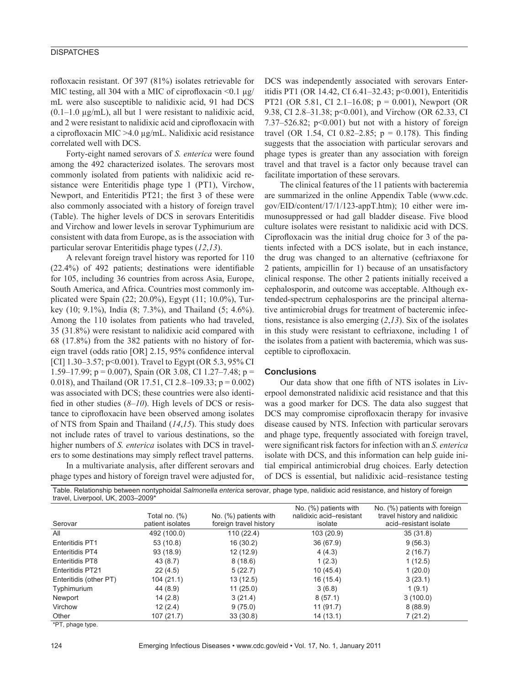## **DISPATCHES**

rofloxacin resistant. Of 397 (81%) isolates retrievable for MIC testing, all 304 with a MIC of ciprofloxacin  $\leq 0.1$  μg/ mL were also susceptible to nalidixic acid, 91 had DCS  $(0.1-1.0 \mu g/mL)$ , all but 1 were resistant to nalidixic acid, and 2 were resistant to nalidixic acid and ciprofloxacin with a ciprofloxacin MIC > 4.0 μg/mL. Nalidixic acid resistance correlated well with DCS.

Forty-eight named serovars of *S. enterica* were found among the 492 characterized isolates. The serovars most commonly isolated from patients with nalidixic acid resistance were Enteritidis phage type 1 (PT1), Virchow, Newport, and Enteritidis PT21; the first 3 of these were also commonly associated with a history of foreign travel (Table). The higher levels of DCS in serovars Enteritidis and Virchow and lower levels in serovar Typhimurium are consistent with data from Europe, as is the association with particular serovar Enteritidis phage types (*12*,*13*).

A relevant foreign travel history was reported for 110  $(22.4%)$  of 492 patients; destinations were identifiable for 105, including 36 countries from across Asia, Europe, South America, and Africa. Countries most commonly implicated were Spain (22; 20.0%), Egypt (11; 10.0%), Turkey (10; 9.1%), India (8; 7.3%), and Thailand (5; 4.6%). Among the 110 isolates from patients who had traveled, 35 (31.8%) were resistant to nalidixic acid compared with 68 (17.8%) from the 382 patients with no history of foreign travel (odds ratio [OR] 2.15, 95% confidence interval [CI] 1.30–3.57; p<0.001). Travel to Egypt (OR 5.3, 95% CI 1.59–17.99; p = 0.007), Spain (OR 3.08, CI 1.27–7.48; p = 0.018), and Thailand (OR 17.51, CI 2.8–109.33; p = 0.002) was associated with DCS; these countries were also identified in other studies  $(8-10)$ . High levels of DCS or resistance to ciprofloxacin have been observed among isolates of NTS from Spain and Thailand (*14*,*15*). This study does not include rates of travel to various destinations, so the higher numbers of *S. enterica* isolates with DCS in travelers to some destinations may simply reflect travel patterns.

In a multivariate analysis, after different serovars and phage types and history of foreign travel were adjusted for, DCS was independently associated with serovars Enteritidis PT1 (OR 14.42, CI 6.41–32.43; p<0.001), Enteritidis PT21 (OR 5.81, CI 2.1–16.08;  $p = 0.001$ ), Newport (OR 9.38, CI 2.8–31.38; p<0.001), and Virchow (OR 62.33, CI 7.37–526.82;  $p<0.001$ ) but not with a history of foreign travel (OR 1.54, CI 0.82–2.85;  $p = 0.178$ ). This finding suggests that the association with particular serovars and phage types is greater than any association with foreign travel and that travel is a factor only because travel can facilitate importation of these serovars.

The clinical features of the 11 patients with bacteremia are summarized in the online Appendix Table (www.cdc. gov/EID/content/17/1/123-appT.htm); 10 either were immunosuppressed or had gall bladder disease. Five blood culture isolates were resistant to nalidixic acid with DCS. Ciprofloxacin was the initial drug choice for 3 of the patients infected with a DCS isolate, but in each instance, the drug was changed to an alternative (ceftriaxone for 2 patients, ampicillin for 1) because of an unsatisfactory clinical response. The other 2 patients initially received a cephalosporin, and outcome was acceptable. Although extended-spectrum cephalosporins are the principal alternative antimicrobial drugs for treatment of bacteremic infections, resistance is also emerging (*2*,*13*). Six of the isolates in this study were resistant to ceftriaxone, including 1 of the isolates from a patient with bacteremia, which was susceptible to ciprofloxacin.

## **Conclusions**

Our data show that one fifth of NTS isolates in Liverpool demonstrated nalidixic acid resistance and that this was a good marker for DCS. The data also suggest that DCS may compromise ciprofloxacin therapy for invasive disease caused by NTS. Infection with particular serovars and phage type, frequently associated with foreign travel, were significant risk factors for infection with an *S. enterica* isolate with DCS, and this information can help guide initial empirical antimicrobial drug choices. Early detection of DCS is essential, but nalidixic acid–resistance testing

Table. Relationship between nontyphoidal *Salmonella enterica* serovar, phage type, nalidixic acid resistance, and history of foreign travel, Liverpool, UK, 2003–2009\*

|                        | Total no. (%)    | No. (%) patients with  | No. (%) patients with<br>nalidixic acid-resistant | No. (%) patients with foreign<br>travel history and nalidixic |
|------------------------|------------------|------------------------|---------------------------------------------------|---------------------------------------------------------------|
| Serovar                | patient isolates | foreign travel history | isolate                                           | acid-resistant isolate                                        |
| All                    | 492 (100.0)      | 110 (22.4)             | 103 (20.9)                                        | 35(31.8)                                                      |
| Enteritidis PT1        | 53 (10.8)        | 16(30.2)               | 36 (67.9)                                         | 9(56.3)                                                       |
| Enteritidis PT4        | 93 (18.9)        | 12 (12.9)              | 4(4.3)                                            | 2(16.7)                                                       |
| Enteritidis PT8        | 43 (8.7)         | 8(18.6)                | 1(2.3)                                            | 1(12.5)                                                       |
| Enteritidis PT21       | 22(4.5)          | 5(22.7)                | 10(45.4)                                          | 1(20.0)                                                       |
| Enteritidis (other PT) | 104(21.1)        | 13(12.5)               | 16 (15.4)                                         | 3(23.1)                                                       |
| Typhimurium            | 44 (8.9)         | 11(25.0)               | 3(6.8)                                            | 1(9.1)                                                        |
| Newport                | 14(2.8)          | 3(21.4)                | 8(57.1)                                           | 3(100.0)                                                      |
| Virchow                | 12(2.4)          | 9(75.0)                | 11(91.7)                                          | 8(88.9)                                                       |
| Other                  | 107 (21.7)       | 33(30.8)               | 14(13.1)                                          | 7(21.2)                                                       |

\*PT, phage type.